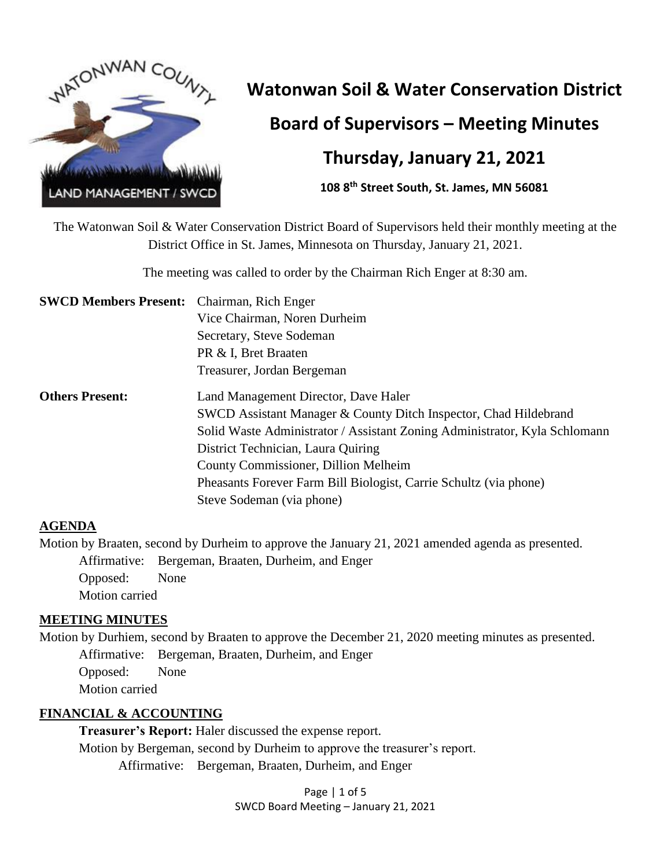

# **Watonwan Soil & Water Conservation District Board of Supervisors – Meeting Minutes**

## **Thursday, January 21, 2021**

**108 8th Street South, St. James, MN 56081**

The Watonwan Soil & Water Conservation District Board of Supervisors held their monthly meeting at the District Office in St. James, Minnesota on Thursday, January 21, 2021.

The meeting was called to order by the Chairman Rich Enger at 8:30 am.

| <b>SWCD Members Present:</b> Chairman, Rich Enger |                                                                            |
|---------------------------------------------------|----------------------------------------------------------------------------|
|                                                   | Vice Chairman, Noren Durheim                                               |
|                                                   | Secretary, Steve Sodeman                                                   |
|                                                   | PR & I, Bret Braaten                                                       |
|                                                   | Treasurer, Jordan Bergeman                                                 |
| <b>Others Present:</b>                            | Land Management Director, Dave Haler                                       |
|                                                   | SWCD Assistant Manager & County Ditch Inspector, Chad Hildebrand           |
|                                                   | Solid Waste Administrator / Assistant Zoning Administrator, Kyla Schlomann |
|                                                   | District Technician, Laura Quiring                                         |
|                                                   | County Commissioner, Dillion Melheim                                       |
|                                                   | Pheasants Forever Farm Bill Biologist, Carrie Schultz (via phone)          |
|                                                   | Steve Sodeman (via phone)                                                  |
|                                                   |                                                                            |

#### **AGENDA**

Motion by Braaten, second by Durheim to approve the January 21, 2021 amended agenda as presented. Affirmative: Bergeman, Braaten, Durheim, and Enger Opposed: None Motion carried

#### **MEETING MINUTES**

Motion by Durhiem, second by Braaten to approve the December 21, 2020 meeting minutes as presented. Affirmative: Bergeman, Braaten, Durheim, and Enger Opposed: None Motion carried

#### **FINANCIAL & ACCOUNTING**

**Treasurer's Report:** Haler discussed the expense report. Motion by Bergeman, second by Durheim to approve the treasurer's report. Affirmative: Bergeman, Braaten, Durheim, and Enger

> Page | 1 of 5 SWCD Board Meeting – January 21, 2021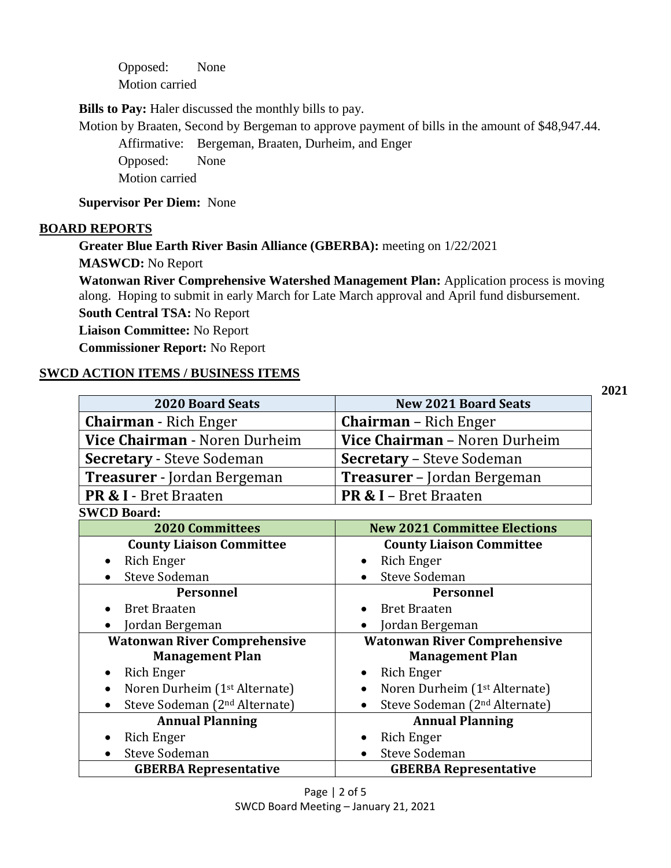Opposed: None Motion carried

**Bills to Pay:** Haler discussed the monthly bills to pay.

Motion by Braaten, Second by Bergeman to approve payment of bills in the amount of \$48,947.44.

Affirmative: Bergeman, Braaten, Durheim, and Enger Opposed: None Motion carried

#### **Supervisor Per Diem:** None

#### **BOARD REPORTS**

**Greater Blue Earth River Basin Alliance (GBERBA):** meeting on 1/22/2021 **MASWCD:** No Report

**Watonwan River Comprehensive Watershed Management Plan:** Application process is moving along. Hoping to submit in early March for Late March approval and April fund disbursement.

**2021** 

**South Central TSA:** No Report

**Liaison Committee:** No Report

**Commissioner Report:** No Report

#### **SWCD ACTION ITEMS / BUSINESS ITEMS**

| <b>2020 Board Seats</b>                                | <b>New 2021 Board Seats</b>                            |  |
|--------------------------------------------------------|--------------------------------------------------------|--|
| <b>Chairman</b> - Rich Enger                           | <b>Chairman</b> – Rich Enger                           |  |
| Vice Chairman - Noren Durheim                          | Vice Chairman - Noren Durheim                          |  |
| <b>Secretary - Steve Sodeman</b>                       | <b>Secretary - Steve Sodeman</b>                       |  |
| <b>Treasurer</b> - Jordan Bergeman                     | <b>Treasurer</b> – Jordan Bergeman                     |  |
| <b>PR &amp; I</b> - Bret Braaten                       | <b>PR &amp; I</b> – Bret Braaten                       |  |
| <b>SWCD Board:</b>                                     |                                                        |  |
| <b>2020 Committees</b>                                 | <b>New 2021 Committee Elections</b>                    |  |
| <b>County Liaison Committee</b>                        | <b>County Liaison Committee</b>                        |  |
| Rich Enger<br>$\bullet$                                | Rich Enger<br>$\bullet$                                |  |
| <b>Steve Sodeman</b>                                   | <b>Steve Sodeman</b>                                   |  |
| <b>Personnel</b>                                       | <b>Personnel</b>                                       |  |
| <b>Bret Braaten</b>                                    | <b>Bret Braaten</b>                                    |  |
| Jordan Bergeman                                        | Jordan Bergeman                                        |  |
|                                                        |                                                        |  |
| <b>Watonwan River Comprehensive</b>                    | <b>Watonwan River Comprehensive</b>                    |  |
| <b>Management Plan</b>                                 | <b>Management Plan</b>                                 |  |
| Rich Enger<br>$\bullet$                                | Rich Enger<br>٠                                        |  |
| Noren Durheim (1 <sup>st</sup> Alternate)<br>$\bullet$ | Noren Durheim (1 <sup>st</sup> Alternate)<br>$\bullet$ |  |
| Steve Sodeman (2 <sup>nd</sup> Alternate)              | Steve Sodeman (2 <sup>nd</sup> Alternate)              |  |
| <b>Annual Planning</b>                                 | <b>Annual Planning</b>                                 |  |
| Rich Enger                                             | <b>Rich Enger</b>                                      |  |
| <b>Steve Sodeman</b>                                   | <b>Steve Sodeman</b><br>$\bullet$                      |  |

Page | 2 of 5 SWCD Board Meeting – January 21, 2021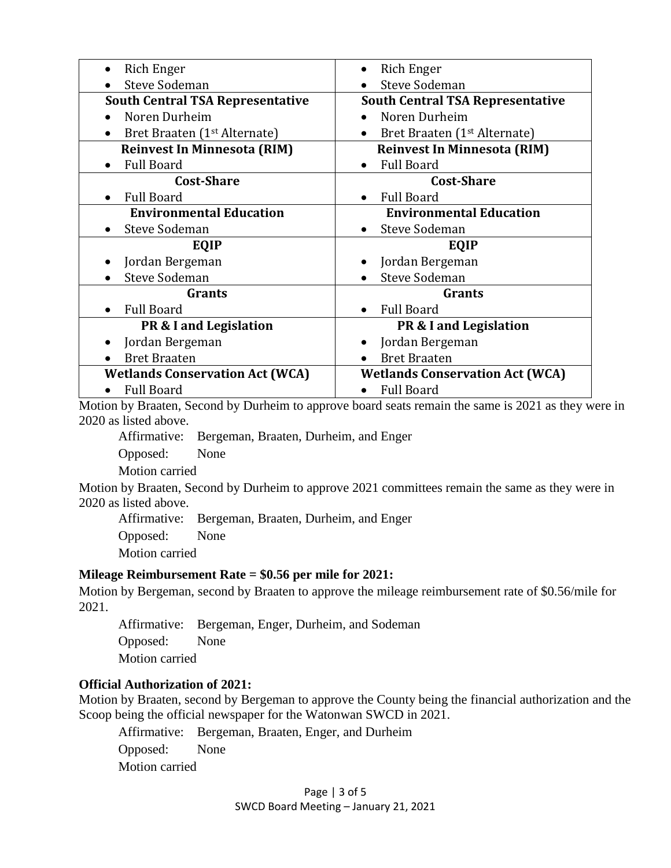| Rich Enger<br>$\bullet$                  |  |
|------------------------------------------|--|
| <b>Steve Sodeman</b>                     |  |
| <b>South Central TSA Representative</b>  |  |
| Noren Durheim                            |  |
| Bret Braaten (1 <sup>st</sup> Alternate) |  |
| <b>Reinvest In Minnesota (RIM)</b>       |  |
| <b>Full Board</b><br>$\bullet$           |  |
| <b>Cost-Share</b>                        |  |
| <b>Full Board</b>                        |  |
| <b>Environmental Education</b>           |  |
| <b>Steve Sodeman</b>                     |  |
| EQIP                                     |  |
| Jordan Bergeman                          |  |
| <b>Steve Sodeman</b>                     |  |
| Grants                                   |  |
| <b>Full Board</b>                        |  |
| PR & I and Legislation                   |  |
| Jordan Bergeman<br>٠                     |  |
| <b>Bret Braaten</b>                      |  |
| <b>Wetlands Conservation Act (WCA)</b>   |  |
| <b>Full Board</b>                        |  |
|                                          |  |

Motion by Braaten, Second by Durheim to approve board seats remain the same is 2021 as they were in 2020 as listed above.

Affirmative: Bergeman, Braaten, Durheim, and Enger

Opposed: None

Motion carried

Motion by Braaten, Second by Durheim to approve 2021 committees remain the same as they were in 2020 as listed above.

Affirmative: Bergeman, Braaten, Durheim, and Enger

Opposed: None

Motion carried

#### **Mileage Reimbursement Rate = \$0.56 per mile for 2021:**

Motion by Bergeman, second by Braaten to approve the mileage reimbursement rate of \$0.56/mile for 2021.

Affirmative: Bergeman, Enger, Durheim, and Sodeman Opposed: None Motion carried

#### **Official Authorization of 2021:**

Motion by Braaten, second by Bergeman to approve the County being the financial authorization and the Scoop being the official newspaper for the Watonwan SWCD in 2021.

Affirmative: Bergeman, Braaten, Enger, and Durheim

Opposed: None

Motion carried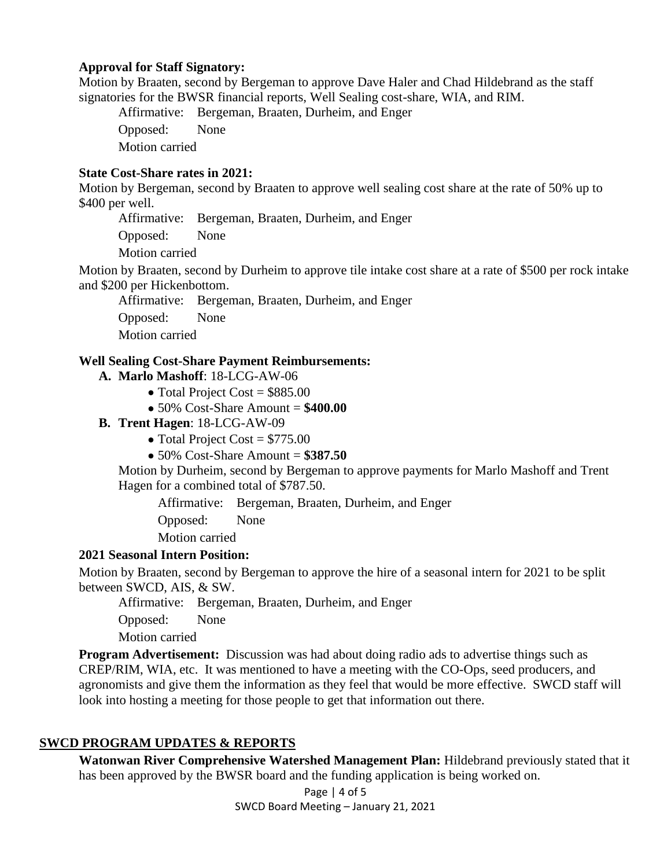#### **Approval for Staff Signatory:**

Motion by Braaten, second by Bergeman to approve Dave Haler and Chad Hildebrand as the staff signatories for the BWSR financial reports, Well Sealing cost-share, WIA, and RIM.

Affirmative: Bergeman, Braaten, Durheim, and Enger Opposed: None Motion carried

#### **State Cost-Share rates in 2021:**

Motion by Bergeman, second by Braaten to approve well sealing cost share at the rate of 50% up to \$400 per well.

Affirmative: Bergeman, Braaten, Durheim, and Enger

Opposed: None

Motion carried

Motion by Braaten, second by Durheim to approve tile intake cost share at a rate of \$500 per rock intake and \$200 per Hickenbottom.

Affirmative: Bergeman, Braaten, Durheim, and Enger

Opposed: None

Motion carried

#### **Well Sealing Cost-Share Payment Reimbursements:**

- **A. Marlo Mashoff**: 18-LCG-AW-06
	- Total Project Cost =  $$885.00$
	- 50% Cost-Share Amount = **\$400.00**
- **B. Trent Hagen**: 18-LCG-AW-09
	- Total Project Cost  $= $775.00$
	- 50% Cost-Share Amount = **\$387.50**

Motion by Durheim, second by Bergeman to approve payments for Marlo Mashoff and Trent Hagen for a combined total of \$787.50.

Affirmative: Bergeman, Braaten, Durheim, and Enger

Opposed: None

Motion carried

#### **2021 Seasonal Intern Position:**

Motion by Braaten, second by Bergeman to approve the hire of a seasonal intern for 2021 to be split between SWCD, AIS, & SW.

Affirmative: Bergeman, Braaten, Durheim, and Enger

Opposed: None

Motion carried

**Program Advertisement:** Discussion was had about doing radio ads to advertise things such as CREP/RIM, WIA, etc. It was mentioned to have a meeting with the CO-Ops, seed producers, and agronomists and give them the information as they feel that would be more effective. SWCD staff will look into hosting a meeting for those people to get that information out there.

#### **SWCD PROGRAM UPDATES & REPORTS**

**Watonwan River Comprehensive Watershed Management Plan:** Hildebrand previously stated that it has been approved by the BWSR board and the funding application is being worked on.